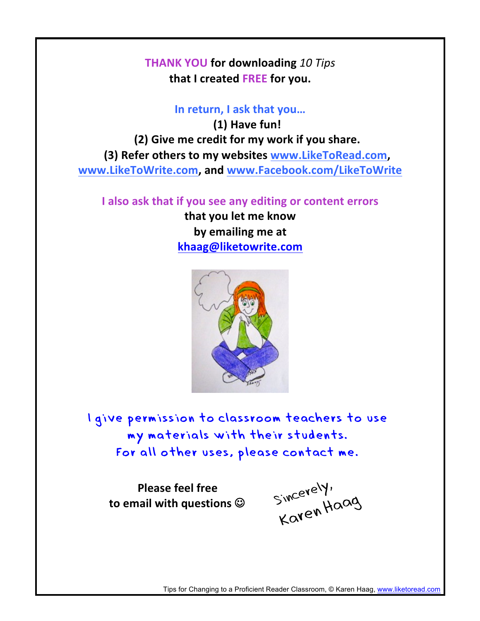**THANK YOU for downloading** *10 Tips* **that I created FREE for you.**

## In return, I ask that you...

**(1) Have fun! (2)** Give me credit for my work if you share. **(3)** Refer others to my websites **www.LikeToRead.com, www.LikeToWrite.com, and www.Facebook.com/LikeToWrite**

**I** also ask that if you see any editing or content errors

**that you let me know** by emailing me at **khaag@liketowrite.com**



I give permission to classroom teachers to use my materials with their students. For all other uses, please contact me.

**Please feel free** to email with questions  $\odot$ 

Sincerely, Karen Haag

Tips for Changing to a Proficient Reader Classroom, © Karen Haag, www.liketoread.com